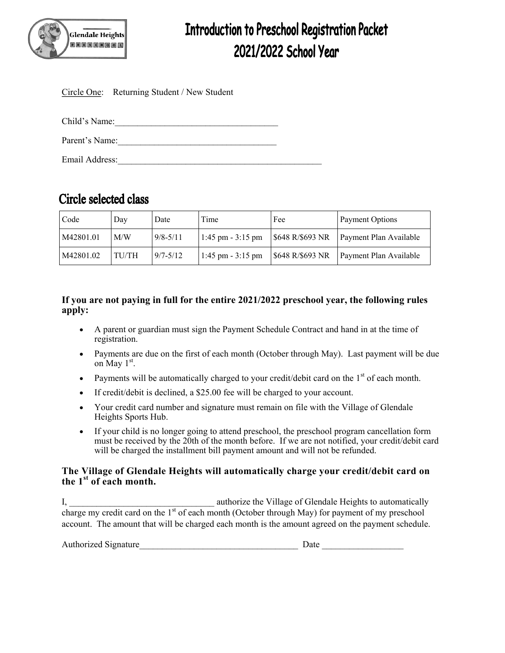

# **Introduction to Preschool Registration Packet** 2021/2022 School Year

|                | Circle One: Returning Student / New Student |  |
|----------------|---------------------------------------------|--|
|                |                                             |  |
| Child's Name:  |                                             |  |
| Parent's Name: |                                             |  |
| Email Address: |                                             |  |
|                |                                             |  |

## **Circle selected class**

| Code      | Day   | Date         | Time                 | Fee              | Payment Options        |
|-----------|-------|--------------|----------------------|------------------|------------------------|
| M42801.01 | M/W   | $9/8 - 5/11$ | 1:45 pm $-3:15$ pm   | \$648 R/\$693 NR | Payment Plan Available |
| M42801.02 | TU/TH | $9/7 - 5/12$ | $1:45$ pm $-3:15$ pm | \$648 R/\$693 NR | Payment Plan Available |

#### **If you are not paying in full for the entire 2021/2022 preschool year, the following rules apply:**

- A parent or guardian must sign the Payment Schedule Contract and hand in at the time of registration.
- Payments are due on the first of each month (October through May). Last payment will be due on May  $1<sup>st</sup>$ .
- Payments will be automatically charged to your credit/debit card on the  $1<sup>st</sup>$  of each month.
- If credit/debit is declined, a \$25.00 fee will be charged to your account.
- Your credit card number and signature must remain on file with the Village of Glendale Heights Sports Hub.
- If your child is no longer going to attend preschool, the preschool program cancellation form must be received by the 20th of the month before. If we are not notified, your credit/debit card will be charged the installment bill payment amount and will not be refunded.

#### **The Village of Glendale Heights will automatically charge your credit/debit card on the 1st of each month.**

I, authorize the Village of Glendale Heights to automatically charge my credit card on the  $1<sup>st</sup>$  of each month (October through May) for payment of my preschool account. The amount that will be charged each month is the amount agreed on the payment schedule.

| Authorized Signature |  |  |
|----------------------|--|--|
|                      |  |  |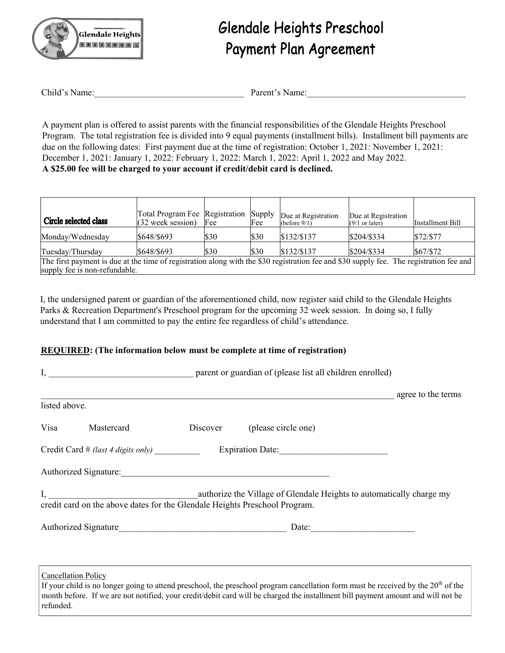

# Glendale Heights Preschool **Payment Plan Agreement**

| Child's Name: | Parent's Name: |
|---------------|----------------|
|---------------|----------------|

A payment plan is offered to assist parents with the financial responsibilities of the Glendale Heights Preschool Program. The total registration fee is divided into 9 equal payments (installment bills). Installment bill payments are due on the following dates: First payment due at the time of registration: October 1, 2021: November 1, 2021: December 1, 2021: January 1, 2022: February 1, 2022: March 1, 2022: April 1, 2022 and May 2022. **A \$25.00 fee will be charged to your account if credit/debit card is declined.**

| Circle selected class                                                                                                                   | Total Program Fee Registration Supply<br>$(32$ week session) | Fee  | Fee  | Due at Registration<br>(before $9/1$ ) | Due at Registration<br>$(9/1)$ or later) | Installment Bill |
|-----------------------------------------------------------------------------------------------------------------------------------------|--------------------------------------------------------------|------|------|----------------------------------------|------------------------------------------|------------------|
| Monday/Wednesday                                                                                                                        | \$648/\$693                                                  | \$30 | \$30 | \$132/\$137                            | \$204/\$334                              | \$72/\$77        |
| Tuesday/Thursday                                                                                                                        | \$648/\$693                                                  | \$30 | \$30 | \$132/\$137                            | \$204/\$334                              | \$67/S72         |
| The first payment is due at the time of registration along with the \$30 registration fee and \$30 supply fee. The registration fee and |                                                              |      |      |                                        |                                          |                  |
| supply fee is non-refundable.                                                                                                           |                                                              |      |      |                                        |                                          |                  |

I, the undersigned parent or guardian of the aforementioned child, now register said child to the Glendale Heights Parks & Recreation Department's Preschool program for the upcoming 32 week session. In doing so, I fully understand that I am committed to pay the entire fee regardless of child's attendance.

#### **REQUIRED: (The information below must be complete at time of registration)**

|               |                            |  |                                                                                                                                                    | agree to the terms |  |
|---------------|----------------------------|--|----------------------------------------------------------------------------------------------------------------------------------------------------|--------------------|--|
| listed above. |                            |  |                                                                                                                                                    |                    |  |
|               | Visa Mastercard            |  | Discover (please circle one)                                                                                                                       |                    |  |
|               |                            |  |                                                                                                                                                    |                    |  |
|               |                            |  | Authorized Signature:                                                                                                                              |                    |  |
|               |                            |  | I, authorize the Village of Glendale Heights to automatically charge my credit card on the above dates for the Glendale Heights Preschool Program. |                    |  |
|               |                            |  |                                                                                                                                                    |                    |  |
|               | <b>Cancellation Policy</b> |  |                                                                                                                                                    |                    |  |

If your child is no longer going to attend preschool, the preschool program cancellation form must be received by the  $20<sup>th</sup>$  of the month before. If we are not notified, your credit/debit card will be charged the installment bill payment amount and will not be refunded.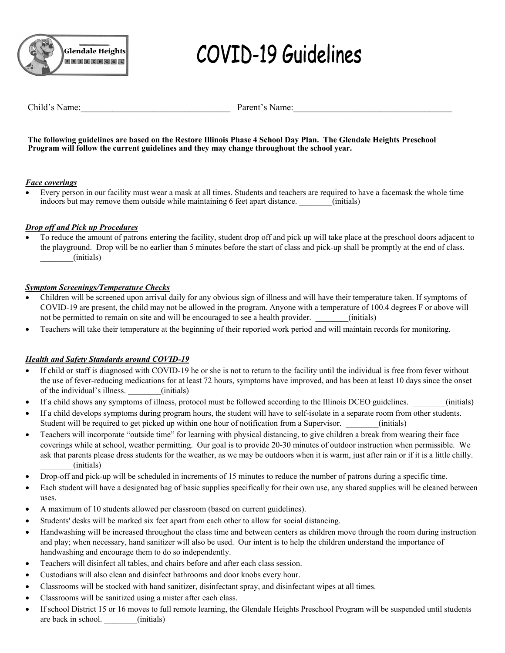

# **COVID-19 Guidelines**

Child's Name: The Parent's Name:

#### **The following guidelines are based on the Restore Illinois Phase 4 School Day Plan. The Glendale Heights Preschool Program will follow the current guidelines and they may change throughout the school year.**

#### *Face coverings*

 Every person in our facility must wear a mask at all times. Students and teachers are required to have a facemask the whole time indoors but may remove them outside while maintaining 6 feet apart distance.  $\qquad \qquad$  (initials)

#### *Drop off and Pick up Procedures*

 To reduce the amount of patrons entering the facility, student drop off and pick up will take place at the preschool doors adjacent to the playground. Drop will be no earlier than 5 minutes before the start of class and pick-up shall be promptly at the end of class. \_\_\_\_\_\_\_\_(initials)

#### *Symptom Screenings/Temperature Checks*

- Children will be screened upon arrival daily for any obvious sign of illness and will have their temperature taken. If symptoms of COVID-19 are present, the child may not be allowed in the program. Anyone with a temperature of 100.4 degrees F or above will not be permitted to remain on site and will be encouraged to see a health provider.  $\qquad \qquad$  (initials)
- Teachers will take their temperature at the beginning of their reported work period and will maintain records for monitoring.

#### *Health and Safety Standards around COVID-19*

- If child or staff is diagnosed with COVID-19 he or she is not to return to the facility until the individual is free from fever without the use of fever-reducing medications for at least 72 hours, symptoms have improved, and has been at least 10 days since the onset of the individual's illness. (initials)
- If a child shows any symptoms of illness, protocol must be followed according to the Illinois DCEO guidelines.  $(n$ initials)
- If a child develops symptoms during program hours, the student will have to self-isolate in a separate room from other students. Student will be required to get picked up within one hour of notification from a Supervisor.  $\qquad \qquad$  (initials)
- Teachers will incorporate "outside time" for learning with physical distancing, to give children a break from wearing their face coverings while at school, weather permitting. Our goal is to provide 20-30 minutes of outdoor instruction when permissible. We ask that parents please dress students for the weather, as we may be outdoors when it is warm, just after rain or if it is a little chilly. \_\_\_\_\_\_\_\_(initials)
- Drop-off and pick-up will be scheduled in increments of 15 minutes to reduce the number of patrons during a specific time.
- Each student will have a designated bag of basic supplies specifically for their own use, any shared supplies will be cleaned between uses.
- A maximum of 10 students allowed per classroom (based on current guidelines).
- Students' desks will be marked six feet apart from each other to allow for social distancing.
- Handwashing will be increased throughout the class time and between centers as children move through the room during instruction and play; when necessary, hand sanitizer will also be used. Our intent is to help the children understand the importance of handwashing and encourage them to do so independently.
- Teachers will disinfect all tables, and chairs before and after each class session.
- Custodians will also clean and disinfect bathrooms and door knobs every hour.
- Classrooms will be stocked with hand sanitizer, disinfectant spray, and disinfectant wipes at all times.
- Classrooms will be sanitized using a mister after each class.
- If school District 15 or 16 moves to full remote learning, the Glendale Heights Preschool Program will be suspended until students are back in school. (initials)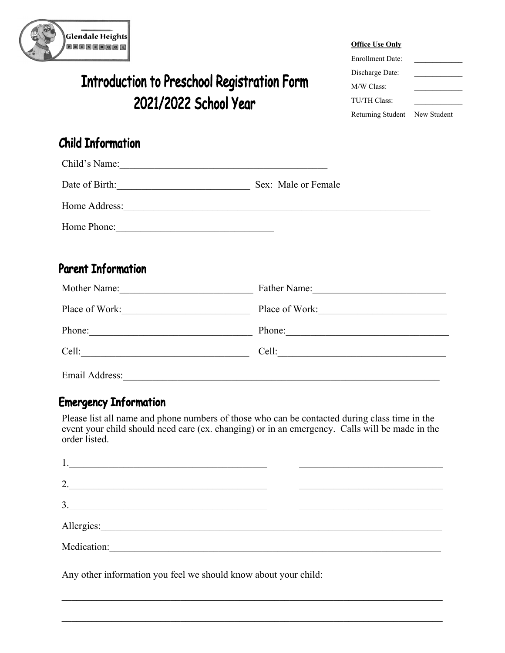

# **Introduction to Preschool Registration Form** 2021/2022 School Year

#### **Office Use Only**

| <b>Enrollment Date:</b>       |  |
|-------------------------------|--|
| Discharge Date:               |  |
| M/W Class:                    |  |
| TU/TH Class:                  |  |
| Returning Student New Student |  |

## **Child Information**

 $61.111$ 

| Child's Name:  |                     |
|----------------|---------------------|
| Date of Birth: | Sex: Male or Female |
| Home Address:  |                     |
| Home Phone:    |                     |

## **Parent Information**

| Mother Name:   | Father Name:   |
|----------------|----------------|
| Place of Work: | Place of Work: |
| Phone:         | Phone:         |
| Cell:          | Cell:          |
| Email Address: |                |

## **Emergency Information**

Please list all name and phone numbers of those who can be contacted during class time in the event your child should need care (ex. changing) or in an emergency. Calls will be made in the order listed.

| Ī.          |  |
|-------------|--|
| 2.          |  |
| 3.          |  |
|             |  |
| Medication: |  |

Any other information you feel we should know about your child: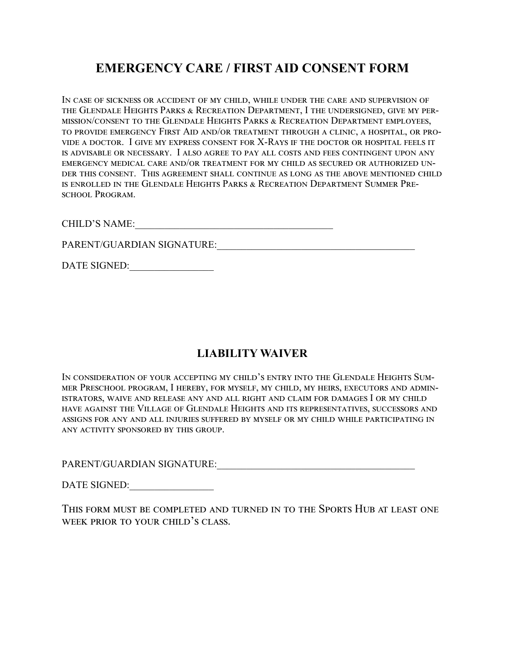## **EMERGENCY CARE / FIRST AID CONSENT FORM**

In case of sickness or accident of my child, while under the care and supervision of the Glendale Heights Parks & Recreation Department, I the undersigned, give my permission/consent to the Glendale Heights Parks & Recreation Department employees, to provide emergency First Aid and/or treatment through a clinic, a hospital, or provide a doctor. I give my express consent for X-Rays if the doctor or hospital feels it is advisable or necessary. I also agree to pay all costs and fees contingent upon any emergency medical care and/or treatment for my child as secured or authorized under this consent. This agreement shall continue as long as the above mentioned child is enrolled in the Glendale Heights Parks & Recreation Department Summer Preschool Program.

CHILD'S NAME:

PARENT/GUARDIAN SIGNATURE:\_\_\_\_\_\_\_\_\_\_\_\_\_\_\_\_\_\_\_\_\_\_\_\_\_\_\_\_\_\_\_\_\_\_\_\_\_\_\_\_

DATE SIGNED:

### **LIABILITY WAIVER**

In consideration of your accepting my child's entry into the Glendale Heights Summer Preschool program, I hereby, for myself, my child, my heirs, executors and administrators, waive and release any and all right and claim for damages I or my child have against the Village of Glendale Heights and its representatives, successors and assigns for any and all injuries suffered by myself or my child while participating in any activity sponsored by this group.

PARENT/GUARDIAN SIGNATURE:

DATE SIGNED:

This form must be completed and turned in to the Sports Hub at least one week prior to your child's class.